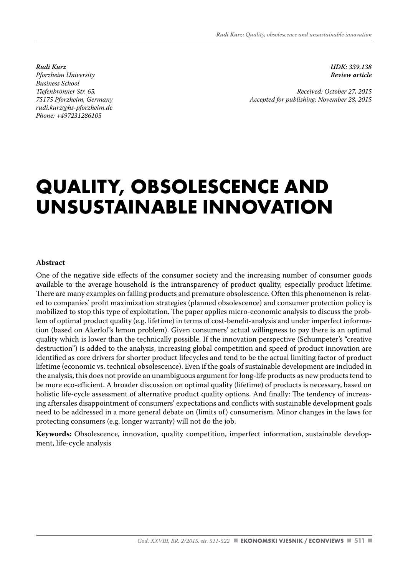*Rudi Kurz Pforzheim University Business School Tiefenbronner Str. 65, 75175 Pforzheim, Germany rudi.kurz@hs-pforzheim.de Phone: +497231286105*

*UDK: 339.138 Review article* 

*Received: October 27, 2015 Accepted for publishing: November 28, 2015*

# **QUALITY, OBSOLESCENCE AND UNSUSTAINABLE INNOVATION**

#### **Abstract**

One of the negative side effects of the consumer society and the increasing number of consumer goods available to the average household is the intransparency of product quality, especially product lifetime. There are many examples on failing products and premature obsolescence. Often this phenomenon is related to companies' profit maximization strategies (planned obsolescence) and consumer protection policy is mobilized to stop this type of exploitation. The paper applies micro-economic analysis to discuss the problem of optimal product quality (e.g. lifetime) in terms of cost-benefit-analysis and under imperfect information (based on Akerlof's lemon problem). Given consumers' actual willingness to pay there is an optimal quality which is lower than the technically possible. If the innovation perspective (Schumpeter's "creative destruction") is added to the analysis, increasing global competition and speed of product innovation are identified as core drivers for shorter product lifecycles and tend to be the actual limiting factor of product lifetime (economic vs. technical obsolescence). Even if the goals of sustainable development are included in the analysis, this does not provide an unambiguous argument for long-life products as new products tend to be more eco-efficient. A broader discussion on optimal quality (lifetime) of products is necessary, based on holistic life-cycle assessment of alternative product quality options. And finally: The tendency of increasing aftersales disappointment of consumers' expectations and conflicts with sustainable development goals need to be addressed in a more general debate on (limits of) consumerism. Minor changes in the laws for protecting consumers (e.g. longer warranty) will not do the job.

**Keywords:** Obsolescence, innovation, quality competition, imperfect information, sustainable development, life-cycle analysis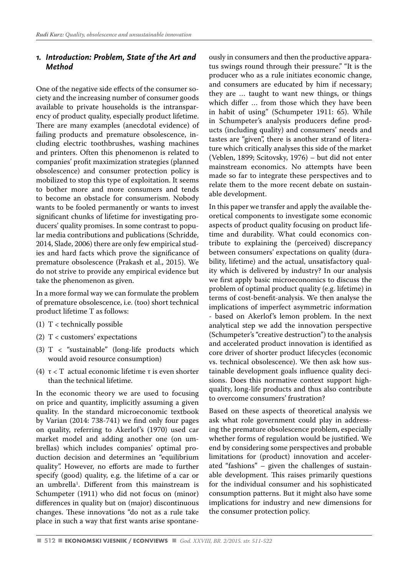#### *1. Introduction: Problem, State of the Art and Method*

One of the negative side effects of the consumer society and the increasing number of consumer goods available to private households is the intransparency of product quality, especially product lifetime. There are many examples (anecdotal evidence) of failing products and premature obsolescence, including electric toothbrushes, washing machines and printers. Often this phenomenon is related to companies' profit maximization strategies (planned obsolescence) and consumer protection policy is mobilized to stop this type of exploitation. It seems to bother more and more consumers and tends to become an obstacle for consumerism. Nobody wants to be fooled permanently or wants to invest significant chunks of lifetime for investigating producers' quality promises. In some contrast to popular media contributions and publications (Schridde, 2014, Slade, 2006) there are only few empirical studies and hard facts which prove the significance of premature obsolescence (Prakash et al., 2015). We do not strive to provide any empirical evidence but take the phenomenon as given.

In a more formal way we can formulate the problem of premature obsolescence, i.e. (too) short technical product lifetime T as follows:

- (1) T < technically possible
- (2) T < customers' expectations
- (3) T < "sustainable" (long-life products which would avoid resource consumption)
- (4) τ < T actual economic lifetime τ is even shorter than the technical lifetime.

In the economic theory we are used to focusing on price and quantity, implicitly assuming a given quality. In the standard microeconomic textbook by Varian (2014: 738-741) we find only four pages on quality, referring to Akerlof's (1970) used car market model and adding another one (on umbrellas) which includes companies' optimal production decision and determines an "equilibrium quality". However, no efforts are made to further specify (good) quality, e.g. the lifetime of a car or an umbrella1 . Different from this mainstream is Schumpeter (1911) who did not focus on (minor) differences in quality but on (major) discontinuous changes. These innovations "do not as a rule take place in such a way that first wants arise spontaneously in consumers and then the productive apparatus swings round through their pressure." "It is the producer who as a rule initiates economic change, and consumers are educated by him if necessary; they are … taught to want new things, or things which differ … from those which they have been in habit of using" (Schumpeter 1911: 65). While in Schumpeter's analysis producers define products (including quality) and consumers' needs and tastes are "given", there is another strand of literature which critically analyses this side of the market (Veblen, 1899; Scitovsky, 1976) – but did not enter mainstream economics. No attempts have been made so far to integrate these perspectives and to relate them to the more recent debate on sustainable development.

In this paper we transfer and apply the available theoretical components to investigate some economic aspects of product quality focusing on product lifetime and durability. What could economics contribute to explaining the (perceived) discrepancy between consumers' expectations on quality (durability, lifetime) and the actual, unsatisfactory quality which is delivered by industry? In our analysis we first apply basic microeconomics to discuss the problem of optimal product quality (e.g. lifetime) in terms of cost-benefit-analysis. We then analyse the implications of imperfect asymmetric information - based on Akerlof's lemon problem. In the next analytical step we add the innovation perspective (Schumpeter's "creative destruction") to the analysis and accelerated product innovation is identified as core driver of shorter product lifecycles (economic vs. technical obsolescence). We then ask how sustainable development goals influence quality decisions. Does this normative context support highquality, long-life products and thus also contribute to overcome consumers' frustration?

Based on these aspects of theoretical analysis we ask what role government could play in addressing the premature obsolescence problem, especially whether forms of regulation would be justified. We end by considering some perspectives and probable limitations for (product) innovation and accelerated "fashions" – given the challenges of sustainable development. This raises primarily questions for the individual consumer and his sophisticated consumption patterns. But it might also have some implications for industry and new dimensions for the consumer protection policy.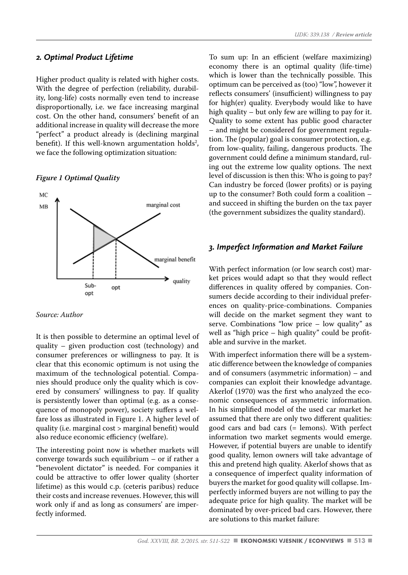#### *2. Optimal Product Lifetime*

Higher product quality is related with higher costs. With the degree of perfection (reliability, durability, long-life) costs normally even tend to increase disproportionally, i.e. we face increasing marginal cost. On the other hand, consumers' benefit of an additional increase in quality will decrease the more "perfect" a product already is (declining marginal benefit). If this well-known argumentation holds<sup>2</sup>, we face the following optimization situation:

#### *Figure 1 Optimal Quality*



#### *Source: Author*

It is then possible to determine an optimal level of quality – given production cost (technology) and consumer preferences or willingness to pay. It is clear that this economic optimum is not using the maximum of the technological potential. Companies should produce only the quality which is covered by consumers' willingness to pay. If quality is persistently lower than optimal (e.g. as a consequence of monopoly power), society suffers a welfare loss as illustrated in Figure 1. A higher level of quality (i.e. marginal cost > marginal benefit) would also reduce economic efficiency (welfare).

The interesting point now is whether markets will converge towards such equilibrium – or if rather a "benevolent dictator" is needed. For companies it could be attractive to offer lower quality (shorter lifetime) as this would c.p. (ceteris paribus) reduce their costs and increase revenues. However, this will work only if and as long as consumers' are imperfectly informed.

To sum up: In an efficient (welfare maximizing) economy there is an optimal quality (life-time) which is lower than the technically possible. This optimum can be perceived as (too) "low", however it reflects consumers' (insufficient) willingness to pay for high(er) quality. Everybody would like to have high quality – but only few are willing to pay for it. Quality to some extent has public good character – and might be considered for government regulation. The (popular) goal is consumer protection, e.g. from low-quality, failing, dangerous products. The government could define a minimum standard, ruling out the extreme low quality options. The next level of discussion is then this: Who is going to pay? Can industry be forced (lower profits) or is paying up to the consumer? Both could form a coalition – and succeed in shifting the burden on the tax payer (the government subsidizes the quality standard).

## *3. Imperfect Information and Market Failure*

With perfect information (or low search cost) market prices would adapt so that they would reflect differences in quality offered by companies. Consumers decide according to their individual preferences on quality-price-combinations. Companies will decide on the market segment they want to serve. Combinations "low price – low quality" as well as "high price – high quality" could be profitable and survive in the market.

With imperfect information there will be a systematic difference between the knowledge of companies and of consumers (asymmetric information) – and companies can exploit their knowledge advantage. Akerlof (1970) was the first who analyzed the economic consequences of asymmetric information. In his simplified model of the used car market he assumed that there are only two different qualities: good cars and bad cars (= lemons). With perfect information two market segments would emerge. However, if potential buyers are unable to identify good quality, lemon owners will take advantage of this and pretend high quality. Akerlof shows that as a consequence of imperfect quality information of buyers the market for good quality will collapse. Imperfectly informed buyers are not willing to pay the adequate price for high quality. The market will be dominated by over-priced bad cars. However, there are solutions to this market failure: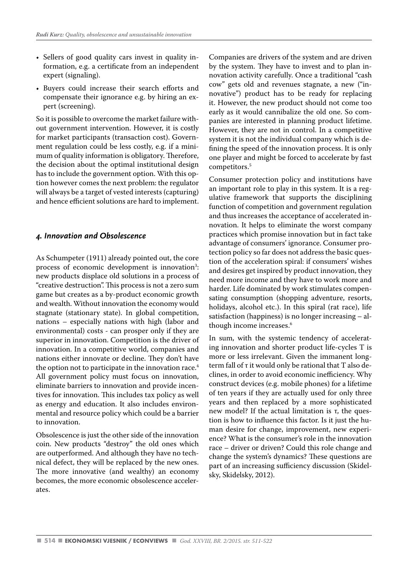- Sellers of good quality cars invest in quality information, e.g. a certificate from an independent expert (signaling).
- Buyers could increase their search efforts and compensate their ignorance e.g. by hiring an expert (screening).

So it is possible to overcome the market failure without government intervention. However, it is costly for market participants (transaction cost). Government regulation could be less costly, e.g. if a minimum of quality information is obligatory. Therefore, the decision about the optimal institutional design has to include the government option. With this option however comes the next problem: the regulator will always be a target of vested interests (capturing) and hence efficient solutions are hard to implement.

#### *4. Innovation and Obsolescence*

As Schumpeter (1911) already pointed out, the core process of economic development is innovation<sup>3</sup>: new products displace old solutions in a process of "creative destruction". This process is not a zero sum game but creates as a by-product economic growth and wealth. Without innovation the economy would stagnate (stationary state). In global competition, nations – especially nations with high (labor and environmental) costs - can prosper only if they are superior in innovation. Competition is the driver of innovation. In a competitive world, companies and nations either innovate or decline. They don't have the option not to participate in the innovation race.<sup>4</sup> All government policy must focus on innovation, eliminate barriers to innovation and provide incentives for innovation. This includes tax policy as well as energy and education. It also includes environmental and resource policy which could be a barrier to innovation.

Obsolescence is just the other side of the innovation coin. New products "destroy" the old ones which are outperformed. And although they have no technical defect, they will be replaced by the new ones. The more innovative (and wealthy) an economy becomes, the more economic obsolescence accelerates.

Companies are drivers of the system and are driven by the system. They have to invest and to plan innovation activity carefully. Once a traditional "cash cow" gets old and revenues stagnate, a new ("innovative") product has to be ready for replacing it. However, the new product should not come too early as it would cannibalize the old one. So companies are interested in planning product lifetime. However, they are not in control. In a competitive system it is not the individual company which is defining the speed of the innovation process. It is only one player and might be forced to accelerate by fast competitors.5

Consumer protection policy and institutions have an important role to play in this system. It is a regulative framework that supports the disciplining function of competition and government regulation and thus increases the acceptance of accelerated innovation. It helps to eliminate the worst company practices which promise innovation but in fact take advantage of consumers' ignorance. Consumer protection policy so far does not address the basic question of the acceleration spiral: if consumers' wishes and desires get inspired by product innovation, they need more income and they have to work more and harder. Life dominated by work stimulates compensating consumption (shopping adventure, resorts, holidays, alcohol etc.). In this spiral (rat race), life satisfaction (happiness) is no longer increasing – although income increases.6

In sum, with the systemic tendency of accelerating innovation and shorter product life-cycles T is more or less irrelevant. Given the immanent longterm fall of τ it would only be rational that T also declines, in order to avoid economic inefficiency. Why construct devices (e.g. mobile phones) for a lifetime of ten years if they are actually used for only three years and then replaced by a more sophisticated new model? If the actual limitation is τ, the question is how to influence this factor. Is it just the human desire for change, improvement, new experience? What is the consumer's role in the innovation race – driver or driven? Could this role change and change the system's dynamics? These questions are part of an increasing sufficiency discussion (Skidelsky, Skidelsky, 2012).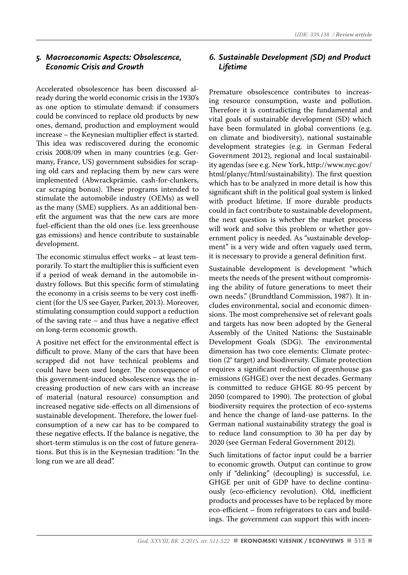#### *5. Macroeconomic Aspects: Obsolescence, Economic Crisis and Growth*

Accelerated obsolescence has been discussed already during the world economic crisis in the 1930's as one option to stimulate demand: if consumers could be convinced to replace old products by new ones, demand, production and employment would increase – the Keynesian multiplier effect is started. This idea was rediscovered during the economic crisis 2008/09 when in many countries (e.g. Germany, France, US) government subsidies for scraping old cars and replacing them by new cars were implemented (Abwrackprämie, cash-for-clunkers, car scraping bonus). These programs intended to stimulate the automobile industry (OEMs) as well as the many (SME) suppliers. As an additional benefit the argument was that the new cars are more fuel-efficient than the old ones (i.e. less greenhouse gas emissions) and hence contribute to sustainable development.

The economic stimulus effect works – at least temporarily. To start the multiplier this is sufficient even if a period of weak demand in the automobile industry follows. But this specific form of stimulating the economy in a crisis seems to be very cost inefficient (for the US see Gayer, Parker, 2013). Moreover, stimulating consumption could support a reduction of the saving rate – and thus have a negative effect on long-term economic growth.

A positive net effect for the environmental effect is difficult to prove. Many of the cars that have been scrapped did not have technical problems and could have been used longer. The consequence of this government-induced obsolescence was the increasing production of new cars with an increase of material (natural resource) consumption and increased negative side-effects on all dimensions of sustainable development. Therefore, the lower fuelconsumption of a new car has to be compared to these negative effects. If the balance is negative, the short-term stimulus is on the cost of future generations. But this is in the Keynesian tradition: "In the long run we are all dead".

### *6. Sustainable Development (SD) and Product Lifetime*

Premature obsolescence contributes to increasing resource consumption, waste and pollution. Therefore it is contradicting the fundamental and vital goals of sustainable development (SD) which have been formulated in global conventions (e.g. on climate and biodiversity), national sustainable development strategies (e.g. in German Federal Government 2012), regional and local sustainability agendas (see e.g. New York, http://www.nyc.gov/ html/planyc/html/sustainability). The first question which has to be analyzed in more detail is how this significant shift in the political goal system is linked with product lifetime. If more durable products could in fact contribute to sustainable development, the next question is whether the market process will work and solve this problem or whether government policy is needed. As "sustainable development" is a very wide and often vaguely used term, it is necessary to provide a general definition first.

Sustainable development is development "which meets the needs of the present without compromising the ability of future generations to meet their own needs." (Brundtland Commission, 1987). It includes environmental, social and economic dimensions. The most comprehensive set of relevant goals and targets has now been adopted by the General Assembly of the United Nations: the Sustainable Development Goals (SDG). The environmental dimension has two core elements: Climate protection (2° target) and biodiversity. Climate protection requires a significant reduction of greenhouse gas emissions (GHGE) over the next decades. Germany is committed to reduce GHGE 80-95 percent by 2050 (compared to 1990). The protection of global biodiversity requires the protection of eco-systems and hence the change of land-use patterns. In the German national sustainability strategy the goal is to reduce land consumption to 30 ha per day by 2020 (see German Federal Government 2012).

Such limitations of factor input could be a barrier to economic growth. Output can continue to grow only if "delinking" (decoupling) is successful, i.e. GHGE per unit of GDP have to decline continuously (eco-efficiency revolution). Old, inefficient products and processes have to be replaced by more eco-efficient – from refrigerators to cars and buildings. The government can support this with incen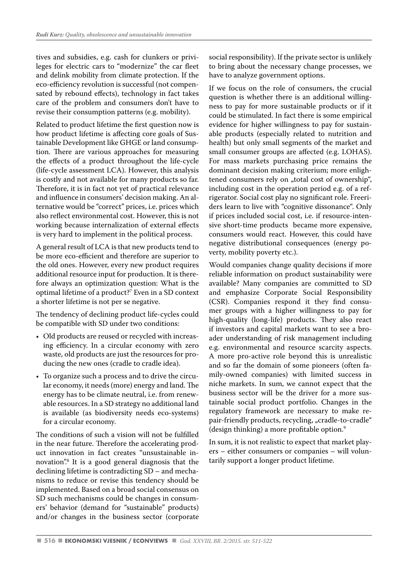tives and subsidies, e.g. cash for clunkers or privileges for electric cars to "modernize" the car fleet and delink mobility from climate protection. If the eco-efficiency revolution is successful (not compensated by rebound effects), technology in fact takes care of the problem and consumers don't have to revise their consumption patterns (e.g. mobility).

Related to product lifetime the first question now is how product lifetime is affecting core goals of Sustainable Development like GHGE or land consumption. There are various approaches for measuring the effects of a product throughout the life-cycle (life-cycle assessment LCA). However, this analysis is costly and not available for many products so far. Therefore, it is in fact not yet of practical relevance and influence in consumers' decision making. An alternative would be "correct" prices, i.e. prices which also reflect environmental cost. However, this is not working because internalization of external effects is very hard to implement in the political process.

A general result of LCA is that new products tend to be more eco-efficient and therefore are superior to the old ones. However, every new product requires additional resource input for production. It is therefore always an optimization question: What is the optimal lifetime of a product?7 Even in a SD context a shorter lifetime is not per se negative.

The tendency of declining product life-cycles could be compatible with SD under two conditions:

- Old products are reused or recycled with increasing efficiency. In a circular economy with zero waste, old products are just the resources for producing the new ones (cradle to cradle idea).
- To organize such a process and to drive the circular economy, it needs (more) energy and land. The energy has to be climate neutral, i.e. from renewable resources. In a SD strategy no additional land is available (as biodiversity needs eco-systems) for a circular economy.

The conditions of such a vision will not be fulfilled in the near future. Therefore the accelerating product innovation in fact creates "unsustainable innovation".8 It is a good general diagnosis that the declining lifetime is contradicting SD – and mechanisms to reduce or revise this tendency should be implemented. Based on a broad social consensus on SD such mechanisms could be changes in consumers' behavior (demand for "sustainable" products) and/or changes in the business sector (corporate

social responsibility). If the private sector is unlikely to bring about the necessary change processes, we have to analyze government options.

If we focus on the role of consumers, the crucial question is whether there is an additional willingness to pay for more sustainable products or if it could be stimulated. In fact there is some empirical evidence for higher willingness to pay for sustainable products (especially related to nutrition and health) but only small segments of the market and small consumer groups are affected (e.g. LOHAS). For mass markets purchasing price remains the dominant decision making criterium; more enlightened consumers rely on "total cost of ownership", including cost in the operation period e.g. of a refrigerator. Social cost play no significant role. Freeriders learn to live with "cognitive dissonance". Only if prices included social cost, i.e. if resource-intensive short-time products became more expensive, consumers would react. However, this could have negative distributional consequences (energy poverty, mobility poverty etc.).

Would companies change quality decisions if more reliable information on product sustainability were available? Many companies are committed to SD and emphasize Corporate Social Responsibility (CSR). Companies respond it they find consumer groups with a higher willingness to pay for high-quality (long-life) products. They also react if investors and capital markets want to see a broader understanding of risk management including e.g. environmental and resource scarcity aspects. A more pro-active role beyond this is unrealistic and so far the domain of some pioneers (often family-owned companies) with limited success in niche markets. In sum, we cannot expect that the business sector will be the driver for a more sustainable social product portfolio. Changes in the regulatory framework are necessary to make repair-friendly products, recycling, "cradle-to-cradle" (design thinking) a more profitable option.<sup>9</sup>

In sum, it is not realistic to expect that market players – either consumers or companies – will voluntarily support a longer product lifetime.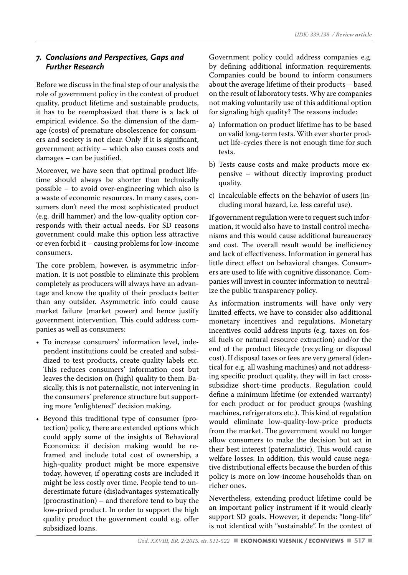## *7. Conclusions and Perspectives, Gaps and Further Research*

Before we discuss in the final step of our analysis the role of government policy in the context of product quality, product lifetime and sustainable products, it has to be reemphasized that there is a lack of empirical evidence. So the dimension of the damage (costs) of premature obsolescence for consumers and society is not clear. Only if it is significant, government activity – which also causes costs and damages – can be justified.

Moreover, we have seen that optimal product lifetime should always be shorter than technically possible – to avoid over-engineering which also is a waste of economic resources. In many cases, consumers don't need the most sophisticated product (e.g. drill hammer) and the low-quality option corresponds with their actual needs. For SD reasons government could make this option less attractive or even forbid it – causing problems for low-income consumers.

The core problem, however, is asymmetric information. It is not possible to eliminate this problem completely as producers will always have an advantage and know the quality of their products better than any outsider. Asymmetric info could cause market failure (market power) and hence justify government intervention. This could address companies as well as consumers:

- To increase consumers' information level, independent institutions could be created and subsidized to test products, create quality labels etc. This reduces consumers' information cost but leaves the decision on (high) quality to them. Basically, this is not paternalistic, not intervening in the consumers' preference structure but supporting more "enlightened" decision making.
- Beyond this traditional type of consumer (protection) policy, there are extended options which could apply some of the insights of Behavioral Economics: if decision making would be reframed and include total cost of ownership, a high-quality product might be more expensive today, however, if operating costs are included it might be less costly over time. People tend to underestimate future (dis)advantages systematically (procrastination) – and therefore tend to buy the low-priced product. In order to support the high quality product the government could e.g. offer subsidized loans.

Government policy could address companies e.g. by defining additional information requirements. Companies could be bound to inform consumers about the average lifetime of their products – based on the result of laboratory tests. Why are companies not making voluntarily use of this additional option for signaling high quality? The reasons include:

- a) Information on product lifetime has to be based on valid long-term tests. With ever shorter product life-cycles there is not enough time for such tests.
- b) Tests cause costs and make products more expensive – without directly improving product quality.
- c) Incalculable effects on the behavior of users (including moral hazard, i.e. less careful use).

If government regulation were to request such information, it would also have to install control mechanisms and this would cause additional bureaucracy and cost. The overall result would be inefficiency and lack of effectiveness. Information in general has little direct effect on behavioral changes. Consumers are used to life with cognitive dissonance. Companies will invest in counter information to neutralize the public transparency policy.

As information instruments will have only very limited effects, we have to consider also additional monetary incentives and regulations. Monetary incentives could address inputs (e.g. taxes on fossil fuels or natural resource extraction) and/or the end of the product lifecycle (recycling or disposal cost). If disposal taxes or fees are very general (identical for e.g. all washing machines) and not addressing specific product quality, they will in fact crosssubsidize short-time products. Regulation could define a minimum lifetime (or extended warranty) for each product or for product groups (washing machines, refrigerators etc.). This kind of regulation would eliminate low-quality-low-price products from the market. The government would no longer allow consumers to make the decision but act in their best interest (paternalistic). This would cause welfare losses. In addition, this would cause negative distributional effects because the burden of this policy is more on low-income households than on richer ones.

Nevertheless, extending product lifetime could be an important policy instrument if it would clearly support SD goals. However, it depends: "long-life" is not identical with "sustainable". In the context of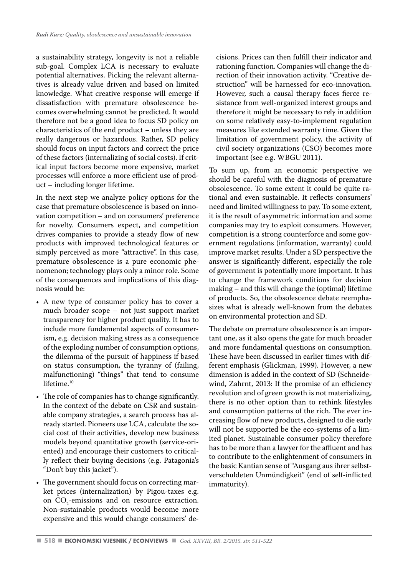a sustainability strategy, longevity is not a reliable sub-goal. Complex LCA is necessary to evaluate potential alternatives. Picking the relevant alternatives is already value driven and based on limited knowledge. What creative response will emerge if dissatisfaction with premature obsolescence becomes overwhelming cannot be predicted. It would therefore not be a good idea to focus SD policy on characteristics of the end product – unless they are really dangerous or hazardous. Rather, SD policy should focus on input factors and correct the price of these factors (internalizing of social costs). If critical input factors become more expensive, market processes will enforce a more efficient use of product – including longer lifetime.

In the next step we analyze policy options for the case that premature obsolescence is based on innovation competition – and on consumers' preference for novelty. Consumers expect, and competition drives companies to provide a steady flow of new products with improved technological features or simply perceived as more "attractive". In this case, premature obsolescence is a pure economic phenomenon; technology plays only a minor role. Some of the consequences and implications of this diagnosis would be:

- A new type of consumer policy has to cover a much broader scope – not just support market transparency for higher product quality. It has to include more fundamental aspects of consumerism, e.g. decision making stress as a consequence of the exploding number of consumption options, the dilemma of the pursuit of happiness if based on status consumption, the tyranny of (failing, malfunctioning) "things" that tend to consume lifetime.<sup>10</sup>
- The role of companies has to change significantly. In the context of the debate on CSR and sustainable company strategies, a search process has already started. Pioneers use LCA, calculate the social cost of their activities, develop new business models beyond quantitative growth (service-oriented) and encourage their customers to critically reflect their buying decisions (e.g. Patagonia's "Don't buy this jacket").
- The government should focus on correcting market prices (internalization) by Pigou-taxes e.g. on  $CO_2$ -emissions and on resource extraction. Non-sustainable products would become more expensive and this would change consumers' de-

cisions. Prices can then fulfill their indicator and rationing function. Companies will change the direction of their innovation activity. "Creative destruction" will be harnessed for eco-innovation. However, such a causal therapy faces fierce resistance from well-organized interest groups and therefore it might be necessary to rely in addition on some relatively easy-to-implement regulation measures like extended warranty time. Given the limitation of government policy, the activity of civil society organizations (CSO) becomes more important (see e.g. WBGU 2011).

To sum up, from an economic perspective we should be careful with the diagnosis of premature obsolescence. To some extent it could be quite rational and even sustainable. It reflects consumers' need and limited willingness to pay. To some extent, it is the result of asymmetric information and some companies may try to exploit consumers. However, competition is a strong counterforce and some government regulations (information, warranty) could improve market results. Under a SD perspective the answer is significantly different, especially the role of government is potentially more important. It has to change the framework conditions for decision making – and this will change the (optimal) lifetime of products. So, the obsolescence debate reemphasizes what is already well-known from the debates on environmental protection and SD.

The debate on premature obsolescence is an important one, as it also opens the gate for much broader and more fundamental questions on consumption. These have been discussed in earlier times with different emphasis (Glickman, 1999). However, a new dimension is added in the context of SD (Schneidewind, Zahrnt, 2013: If the promise of an efficiency revolution and of green growth is not materializing, there is no other option than to rethink lifestyles and consumption patterns of the rich. The ever increasing flow of new products, designed to die early will not be supported be the eco-systems of a limited planet. Sustainable consumer policy therefore has to be more than a lawyer for the affluent and has to contribute to the enlightenment of consumers in the basic Kantian sense of "Ausgang aus ihrer selbstverschuldeten Unmündigkeit" (end of self-inflicted immaturity).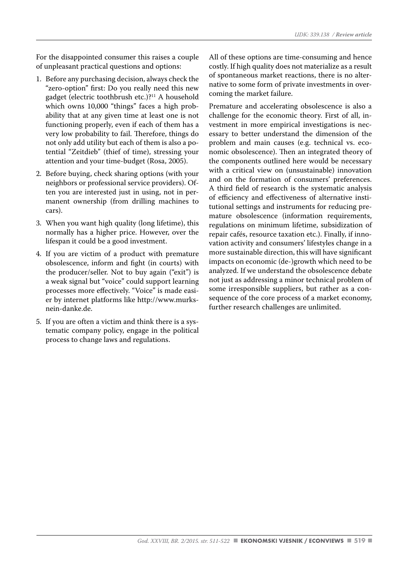For the disappointed consumer this raises a couple of unpleasant practical questions and options:

- 1. Before any purchasing decision, always check the "zero-option" first: Do you really need this new gadget (electric toothbrush etc.)?11 A household which owns 10,000 "things" faces a high probability that at any given time at least one is not functioning properly, even if each of them has a very low probability to fail. Therefore, things do not only add utility but each of them is also a potential "Zeitdieb" (thief of time), stressing your attention and your time-budget (Rosa, 2005).
- 2. Before buying, check sharing options (with your neighbors or professional service providers). Often you are interested just in using, not in permanent ownership (from drilling machines to cars).
- 3. When you want high quality (long lifetime), this normally has a higher price. However, over the lifespan it could be a good investment.
- 4. If you are victim of a product with premature obsolescence, inform and fight (in courts) with the producer/seller. Not to buy again ("exit") is a weak signal but "voice" could support learning processes more effectively. "Voice" is made easier by internet platforms like http://www.murksnein-danke.de.
- 5. If you are often a victim and think there is a systematic company policy, engage in the political process to change laws and regulations.

All of these options are time-consuming and hence costly. If high quality does not materialize as a result of spontaneous market reactions, there is no alternative to some form of private investments in overcoming the market failure.

Premature and accelerating obsolescence is also a challenge for the economic theory. First of all, investment in more empirical investigations is necessary to better understand the dimension of the problem and main causes (e.g. technical vs. economic obsolescence). Then an integrated theory of the components outlined here would be necessary with a critical view on (unsustainable) innovation and on the formation of consumers' preferences. A third field of research is the systematic analysis of efficiency and effectiveness of alternative institutional settings and instruments for reducing premature obsolescence (information requirements, regulations on minimum lifetime, subsidization of repair cafés, resource taxation etc.). Finally, if innovation activity and consumers' lifestyles change in a more sustainable direction, this will have significant impacts on economic (de-)growth which need to be analyzed. If we understand the obsolescence debate not just as addressing a minor technical problem of some irresponsible suppliers, but rather as a consequence of the core process of a market economy, further research challenges are unlimited.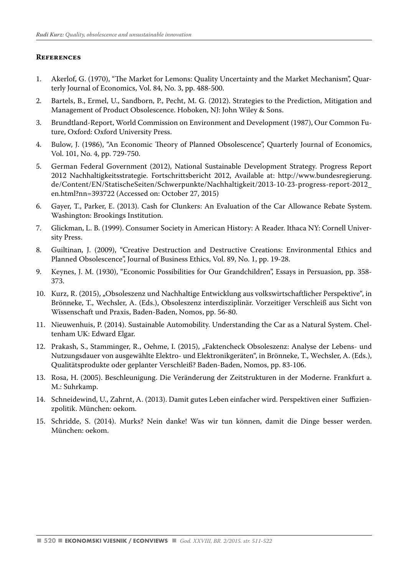#### **References**

- 1. Akerlof, G. (1970), "The Market for Lemons: Quality Uncertainty and the Market Mechanism", Quarterly Journal of Economics, Vol. 84, No. 3, pp. 488-500.
- 2. Bartels, B., Ermel, U., Sandborn, P., Pecht, M. G. (2012). Strategies to the Prediction, Mitigation and Management of Product Obsolescence. Hoboken, NJ: John Wiley & Sons.
- 3. Brundtland-Report, World Commission on Environment and Development (1987), Our Common Future, Oxford: Oxford University Press.
- 4. Bulow, J. (1986), "An Economic Theory of Planned Obsolescence", Quarterly Journal of Economics, Vol. 101, No. 4, pp. 729-750.
- 5. German Federal Government (2012), National Sustainable Development Strategy. Progress Report 2012 Nachhaltigkeitsstrategie. Fortschrittsbericht 2012, Available at: http://www.bundesregierung. de/Content/EN/StatischeSeiten/Schwerpunkte/Nachhaltigkeit/2013-10-23-progress-report-2012\_ en.html?nn=393722 (Accessed on: October 27, 2015)
- 6. Gayer, T., Parker, E. (2013). Cash for Clunkers: An Evaluation of the Car Allowance Rebate System. Washington: Brookings Institution.
- 7. Glickman, L. B. (1999). Consumer Society in American History: A Reader. Ithaca NY: Cornell University Press.
- 8. Guiltinan, J. (2009), "Creative Destruction and Destructive Creations: Environmental Ethics and Planned Obsolescence", Journal of Business Ethics, Vol. 89, No. 1, pp. 19-28.
- 9. Keynes, J. M. (1930), "Economic Possibilities for Our Grandchildren", Essays in Persuasion, pp. 358- 373.
- 10. Kurz, R. (2015), "Obsoleszenz und Nachhaltige Entwicklung aus volkswirtschaftlicher Perspektive", in Brönneke, T., Wechsler, A. (Eds.), Obsoleszenz interdisziplinär. Vorzeitiger Verschleiß aus Sicht von Wissenschaft und Praxis, Baden-Baden, Nomos, pp. 56-80.
- 11. Nieuwenhuis, P. (2014). Sustainable Automobility. Understanding the Car as a Natural System. Cheltenham UK: Edward Elgar.
- 12. Prakash, S., Stamminger, R., Oehme, I. (2015), "Faktencheck Obsoleszenz: Analyse der Lebens- und Nutzungsdauer von ausgewählte Elektro- und Elektronikgeräten", in Brönneke, T., Wechsler, A. (Eds.), Qualitätsprodukte oder geplanter Verschleiß? Baden-Baden, Nomos, pp. 83-106.
- 13. Rosa, H. (2005). Beschleunigung. Die Veränderung der Zeitstrukturen in der Moderne. Frankfurt a. M.: Suhrkamp.
- 14. Schneidewind, U., Zahrnt, A. (2013). Damit gutes Leben einfacher wird. Perspektiven einer Suffizienzpolitik. München: oekom.
- 15. Schridde, S. (2014). Murks? Nein danke! Was wir tun können, damit die Dinge besser werden. München: oekom.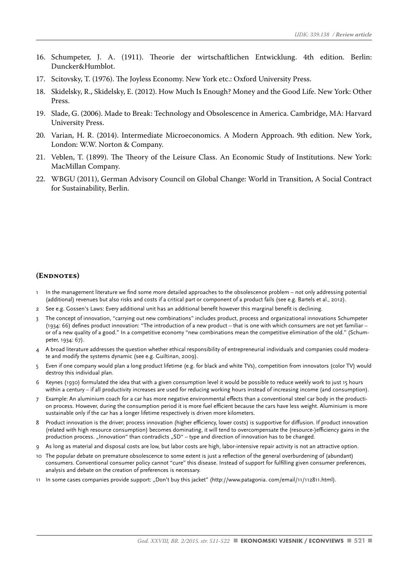- 16. Schumpeter, J. A. (1911). Theorie der wirtschaftlichen Entwicklung. 4th edition. Berlin: Duncker&Humblot.
- 17. Scitovsky, T. (1976). The Joyless Economy. New York etc.: Oxford University Press.
- 18. Skidelsky, R., Skidelsky, E. (2012). How Much Is Enough? Money and the Good Life. New York: Other Press.
- 19. Slade, G. (2006). Made to Break: Technology and Obsolescence in America. Cambridge, MA: Harvard University Press.
- 20. Varian, H. R. (2014). Intermediate Microeconomics. A Modern Approach. 9th edition. New York, London: W.W. Norton & Company.
- 21. Veblen, T. (1899). The Theory of the Leisure Class. An Economic Study of Institutions. New York: MacMillan Company.
- 22. WBGU (2011), German Advisory Council on Global Change: World in Transition, A Social Contract for Sustainability, Berlin.

#### **(Endnotes)**

- In the management literature we find some more detailed approaches to the obsolescence problem not only addressing potential (additional) revenues but also risks and costs if a critical part or component of a product fails (see e.g. Bartels et al., 2012).
- 2 See e.g. Gossen's Laws: Every additional unit has an additional benefit however this marginal benefit is declining.
- 3 The concept of innovation, "carrying out new combinations" includes product, process and organizational innovations Schumpeter (1934: 66) defines product innovation: "The introduction of a new product – that is one with which consumers are not yet familiar – or of a new quality of a good." In a competitive economy "new combinations mean the competitive elimination of the old." (Schumpeter, 1934: 67).
- 4 A broad literature addresses the question whether ethical responsibility of entrepreneurial individuals and companies could moderate and modify the systems dynamic (see e.g. Guiltinan, 2009).
- 5 Even if one company would plan a long product lifetime (e.g. for black and white TVs), competition from innovators (color TV) would destroy this individual plan.
- Keynes (1930) formulated the idea that with a given consumption level it would be possible to reduce weekly work to just 15 hours within a century – if all productivity increases are used for reducing working hours instead of increasing income (and consumption).
- 7 Example: An aluminium coach for a car has more negative environmental effects than a conventional steel car body in the production process. However, during the consumption period it is more fuel efficient because the cars have less weight. Aluminium is more sustainable only if the car has a longer lifetime respectively is driven more kilometers.
- 8 Product innovation is the driver; process innovation (higher efficiency, lower costs) is supportive for diffusion. If product innovation (related with high resource consumption) becomes dominating, it will tend to overcompensate the (resource-)efficiency gains in the production process. "Innovation" than contradicts "SD" – type and direction of innovation has to be changed.
- 9 As long as material and disposal costs are low, but labor costs are high, labor-intensive repair activity is not an attractive option.
- 10 The popular debate on premature obsolescence to some extent is just a reflection of the general overburdening of (abundant) consumers. Conventional consumer policy cannot "cure" this disease. Instead of support for fulfilling given consumer preferences, analysis and debate on the creation of preferences is necessary.
- 11 In some cases companies provide support: "Don't buy this jacket" (http://www.patagonia. com/email/11/112811.html).